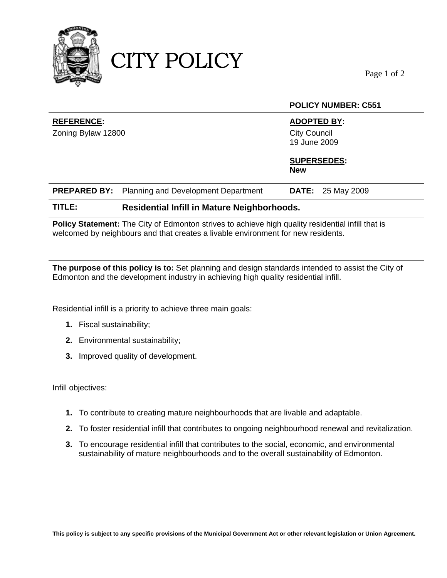

CITY POLICY

Page 1 of 2

**POLICY NUMBER: C551** 

|                    |                                                         | PULIUT NUMBER. U331                 |
|--------------------|---------------------------------------------------------|-------------------------------------|
| <b>REFERENCE:</b>  |                                                         | <b>ADOPTED BY:</b>                  |
| Zoning Bylaw 12800 |                                                         | <b>City Council</b><br>19 June 2009 |
|                    |                                                         | <b>SUPERSEDES:</b><br><b>New</b>    |
|                    | <b>PREPARED BY:</b> Planning and Development Department | <b>DATE:</b> 25 May 2009            |
| TITLE:             | Residential Infill in Mature Neighborhoods.             |                                     |

Policy Statement: The City of Edmonton strives to achieve high quality residential infill that is welcomed by neighbours and that creates a livable environment for new residents.

**The purpose of this policy is to:** Set planning and design standards intended to assist the City of Edmonton and the development industry in achieving high quality residential infill.

Residential infill is a priority to achieve three main goals:

- **1.** Fiscal sustainability;
- **2.** Environmental sustainability;
- **3.** Improved quality of development.

Infill objectives:

- **1.** To contribute to creating mature neighbourhoods that are livable and adaptable.
- **2.** To foster residential infill that contributes to ongoing neighbourhood renewal and revitalization.
- **3.** To encourage residential infill that contributes to the social, economic, and environmental sustainability of mature neighbourhoods and to the overall sustainability of Edmonton.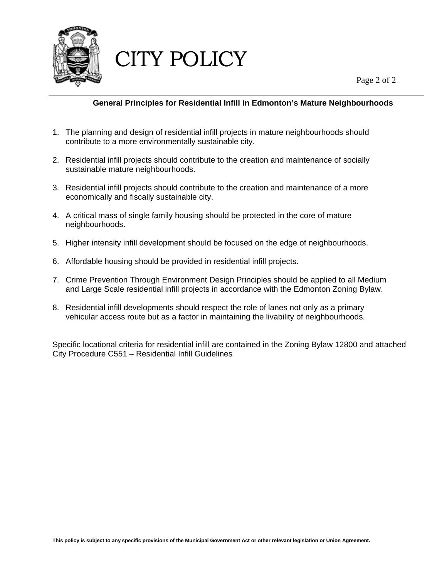

CITY POLICY

Page 2 of 2

## **General Principles for Residential Infill in Edmonton's Mature Neighbourhoods**

- 1. The planning and design of residential infill projects in mature neighbourhoods should contribute to a more environmentally sustainable city.
- 2. Residential infill projects should contribute to the creation and maintenance of socially sustainable mature neighbourhoods.
- 3. Residential infill projects should contribute to the creation and maintenance of a more economically and fiscally sustainable city.
- 4. A critical mass of single family housing should be protected in the core of mature neighbourhoods.
- 5. Higher intensity infill development should be focused on the edge of neighbourhoods.
- 6. Affordable housing should be provided in residential infill projects.
- 7. Crime Prevention Through Environment Design Principles should be applied to all Medium and Large Scale residential infill projects in accordance with the Edmonton Zoning Bylaw.
- 8. Residential infill developments should respect the role of lanes not only as a primary vehicular access route but as a factor in maintaining the livability of neighbourhoods.

Specific locational criteria for residential infill are contained in the Zoning Bylaw 12800 and attached City Procedure C551 – Residential Infill Guidelines